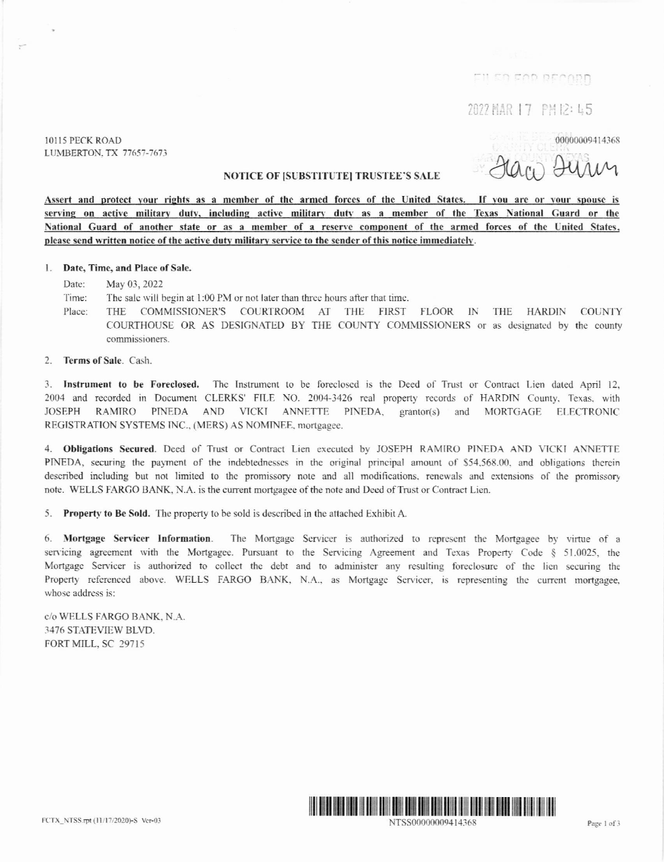חתממשת פמס הפיווק

2022 HAR 17 PH 12: 45

10115 PECK ROAD LUMBERTON, TX 77657-7673

00000009414368

## **NOTICE OF ISUBSTITUTEI TRUSTEE'S SALE**

Assert and protect your rights as a member of the armed forces of the United States. If you are or your spouse is serving on active military duty, including active military duty as a member of the Texas National Guard or the National Guard of another state or as a member of a reserve component of the armed forces of the United States, please send written notice of the active duty military service to the sender of this notice immediately.

### 1. Date, Time, and Place of Sale.

Date: May 03, 2022

Time: The sale will begin at 1:00 PM or not later than three hours after that time.

- COMMISSIONER'S COURTROOM AT THE FIRST FLOOR IN THE HARDIN COUNTY Place: THE COURTHOUSE OR AS DESIGNATED BY THE COUNTY COMMISSIONERS or as designated by the county commissioners.
- $\mathcal{L}$ Terms of Sale. Cash.

3. Instrument to be Foreclosed. The Instrument to be foreclosed is the Deed of Trust or Contract Lien dated April 12, 2004 and recorded in Document CLERKS' FILE NO. 2004-3426 real property records of HARDIN County, Texas, with **JOSEPH** RAMIRO PINEDA AND VICKI ANNETTE PINEDA, grantor(s) and MORTGAGE ELECTRONIC REGISTRATION SYSTEMS INC., (MERS) AS NOMINEE, mortgagee.

4. Obligations Secured. Deed of Trust or Contract Lien executed by JOSEPH RAMIRO PINEDA AND VICKI ANNETTE PINEDA, securing the payment of the indebtednesses in the original principal amount of \$54,568.00, and obligations therein described including but not limited to the promissory note and all modifications, renewals and extensions of the promissory note. WELLS FARGO BANK, N.A. is the current mortgagee of the note and Deed of Trust or Contract Lien.

5. Property to Be Sold. The property to be sold is described in the attached Exhibit A.

6. Mortgage Servicer Information. The Mortgage Servicer is authorized to represent the Mortgagee by virtue of a servicing agreement with the Mortgagee. Pursuant to the Servicing Agreement and Texas Property Code § 51.0025, the Mortgage Servicer is authorized to collect the debt and to administer any resulting foreclosure of the lien securing the Property referenced above. WELLS FARGO BANK, N.A., as Mortgage Servicer, is representing the current mortgagee, whose address is:

c/o WELLS FARGO BANK, N.A. 3476 STATEVIEW BLVD. FORT MILL, SC 29715



NTSS00000009414368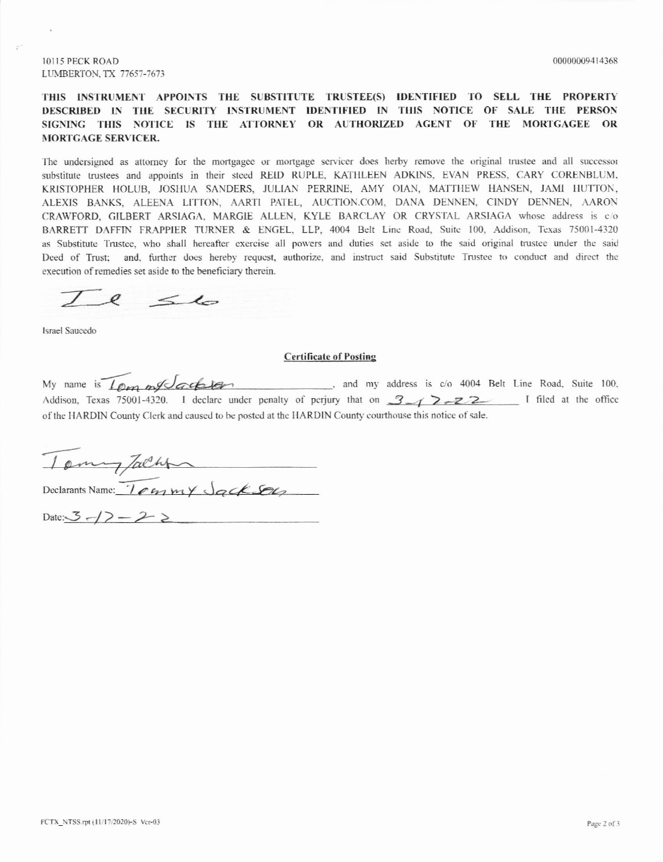# THIS INSTRUMENT APPOINTS THE SUBSTITUTE TRUSTEE(S) IDENTIFIED TO SELL THE PROPERTY DESCRIBED IN THE SECURITY INSTRUMENT IDENTIFIED IN THIS NOTICE OF SALE THE PERSON SIGNING THIS NOTICE IS THE ATTORNEY OR AUTHORIZED AGENT OF THE MORTGAGEE OR **MORTGAGE SERVICER.**

The undersigned as attorney for the mortgage or mortgage servicer does herby remove the original trustee and all successor substitute trustees and appoints in their steed REID RUPLE, KATHLEEN ADKINS, EVAN PRESS, CARY CORENBLUM, KRISTOPHER HOLUB, JOSHUA SANDERS, JULIAN PERRINE, AMY OIAN, MATTHEW HANSEN, JAMI HUTTON, ALEXIS BANKS, ALEENA LITTON, AARTI PATEL, AUCTION.COM, DANA DENNEN, CINDY DENNEN, AARON CRAWFORD, GILBERT ARSIAGA, MARGIE ALLEN, KYLE BARCLAY OR CRYSTAL ARSIAGA whose address is c/o BARRETT DAFFIN FRAPPIER TURNER & ENGEL, LLP, 4004 Belt Line Road, Suite 100, Addison, Texas 75001-4320 as Substitute Trustee, who shall hereafter exercise all powers and duties set aside to the said original trustee under the said Deed of Trust; and, further does hereby request, authorize, and instruct said Substitute Trustee to conduct and direct the execution of remedies set aside to the beneficiary therein.

 $e$   $\leq 10$ 

**Israel Saucedo** 

#### **Certificate of Posting**

My name is Loon my Cachier, and my address is c/o 4004 Belt Line Road, Suite 100, Addison, Texas 75001-4320. I declare under penalty of perjury that on 3 1 2-22 I filed at the office of the HARDIN County Clerk and caused to be posted at the HARDIN County courthouse this notice of sale.

Tomy Jacht

Date:  $3 - 2$